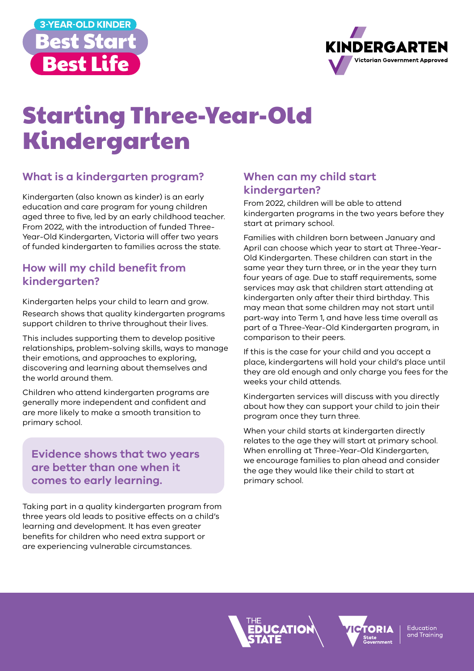



# Starting Three-Year-Old Kindergarten

# **What is a kindergarten program?**

Kindergarten (also known as kinder) is an early education and care program for young children aged three to five, led by an early childhood teacher. From 2022, with the introduction of funded Three-Year-Old Kindergarten, Victoria will offer two years of funded kindergarten to families across the state.

### **How will my child benefit from kindergarten?**

Kindergarten helps your child to learn and grow.

Research shows that quality kindergarten programs support children to thrive throughout their lives.

This includes supporting them to develop positive relationships, problem-solving skills, ways to manage their emotions, and approaches to exploring, discovering and learning about themselves and the world around them.

Children who attend kindergarten programs are generally more independent and confident and are more likely to make a smooth transition to primary school.

## **Evidence shows that two years are better than one when it comes to early learning.**

Taking part in a quality kindergarten program from three years old leads to positive effects on a child's learning and development. It has even greater benefits for children who need extra support or are experiencing vulnerable circumstances.

#### **When can my child start kindergarten?**

From 2022, children will be able to attend kindergarten programs in the two years before they start at primary school.

Families with children born between January and April can choose which year to start at Three-Year-Old Kindergarten. These children can start in the same year they turn three, or in the year they turn four years of age. Due to staff requirements, some services may ask that children start attending at kindergarten only after their third birthday. This may mean that some children may not start until part-way into Term 1, and have less time overall as part of a Three-Year-Old Kindergarten program, in comparison to their peers.

If this is the case for your child and you accept a place, kindergartens will hold your child's place until they are old enough and only charge you fees for the weeks your child attends.

Kindergarten services will discuss with you directly about how they can support your child to join their program once they turn three.

When your child starts at kindergarten directly relates to the age they will start at primary school. When enrolling at Three-Year-Old Kindergarten, we encourage families to plan ahead and consider the age they would like their child to start at primary school.



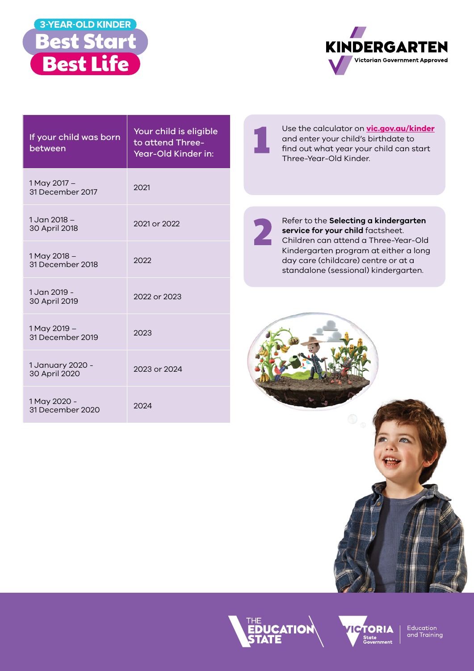



| If your child was born<br>between | Your child is eligible<br>to attend Three-<br>Year-Old Kinder in: |
|-----------------------------------|-------------------------------------------------------------------|
| 1 May 2017 -<br>31 December 2017  | 2021                                                              |
| 1.Jan $2018 -$<br>30 April 2018   | 2021 or 2022                                                      |
| 1 May 2018 -<br>31 December 2018  | 2022                                                              |
| 1 Jan 2019 -<br>30 April 2019     | 2022 or 2023                                                      |
| 1 May 2019 -<br>31 December 2019  | 2023                                                              |
| 1 January 2020 -<br>30 April 2020 | 2023 or 2024                                                      |
| 1 May 2020 -<br>31 December 2020  | 2024                                                              |

Use the calculator on **[vic.gov.au/kinder](https://www.vic.gov.au/give-your-child-the-best-start-in-life)** and enter your child's birthdate to find out what year your child can start Three-Year-Old Kinder.

Refer to the **Selecting a kindergarten service for your child** factsheet. Children can attend a Three-Year-Old Kindergarten program at either a long day care (childcare) centre or at a standalone (sessional) kindergarten.







Education<br>and Training